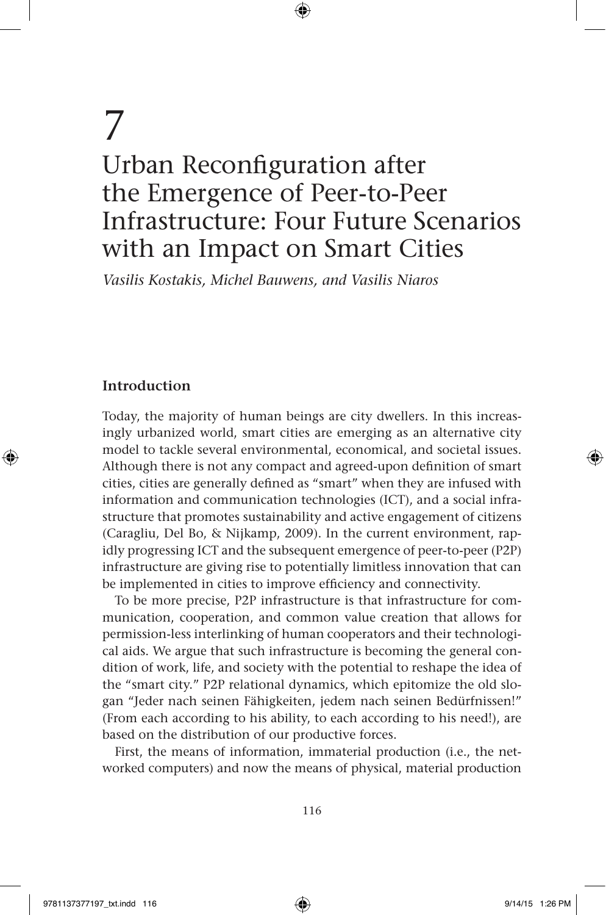# 7 Urban Reconfguration after the Emergence of Peer-to-Peer Infrastructure: Four Future Scenarios with an Impact on Smart Cities

⊕

*Vasilis Kostakis, Michel Bauwens, and Vasilis Niaros*

## **Introduction**

◈

Today, the majority of human beings are city dwellers. In this increasingly urbanized world, smart cities are emerging as an alternative city model to tackle several environmental, economical, and societal issues. Although there is not any compact and agreed-upon defnition of smart cities, cities are generally defned as "smart" when they are infused with information and communication technologies (ICT), and a social infrastructure that promotes sustainability and active engagement of citizens (Caragliu, Del Bo, & Nijkamp, 2009). In the current environment, rapidly progressing ICT and the subsequent emergence of peer-to-peer (P2P) infrastructure are giving rise to potentially limitless innovation that can be implemented in cities to improve effciency and connectivity.

To be more precise, P2P infrastructure is that infrastructure for communication, cooperation, and common value creation that allows for permission-less interlinking of human cooperators and their technological aids. We argue that such infrastructure is becoming the general condition of work, life, and society with the potential to reshape the idea of the "smart city." P2P relational dynamics, which epitomize the old slogan "Jeder nach seinen Fähigkeiten, jedem nach seinen Bedürfnissen!" (From each according to his ability, to each according to his need!), are based on the distribution of our productive forces.

First, the means of information, immaterial production (i.e., the networked computers) and now the means of physical, material production ⊕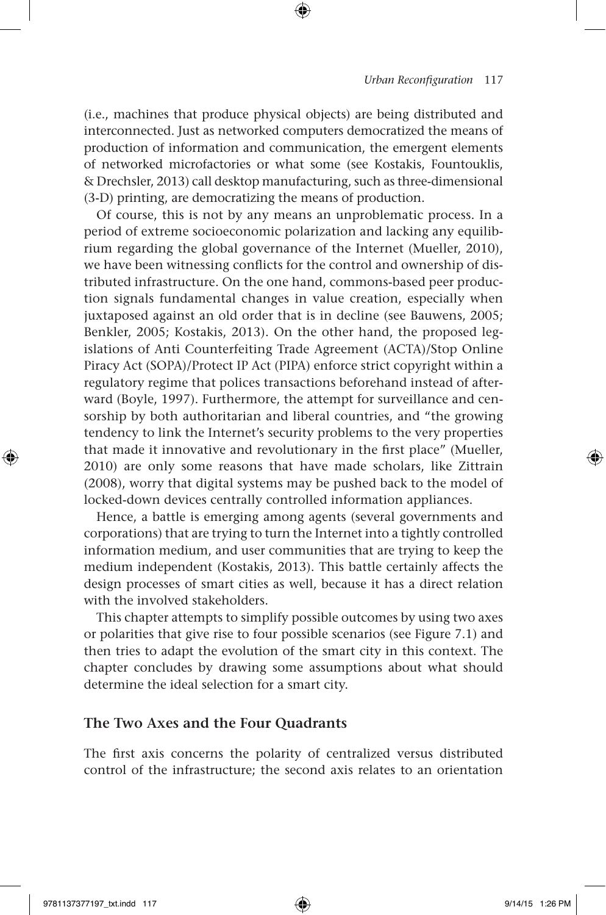(i.e., machines that produce physical objects) are being distributed and interconnected. Just as networked computers democratized the means of production of information and communication, the emergent elements of networked microfactories or what some (see Kostakis, Fountouklis, & Drechsler, 2013) call desktop manufacturing, such as three-dimensional (3-D) printing, are democratizing the means of production.

Of course, this is not by any means an unproblematic process. In a period of extreme socioeconomic polarization and lacking any equilibrium regarding the global governance of the Internet (Mueller, 2010), we have been witnessing conficts for the control and ownership of distributed infrastructure. On the one hand, commons-based peer production signals fundamental changes in value creation, especially when juxtaposed against an old order that is in decline (see Bauwens, 2005; Benkler, 2005; Kostakis, 2013). On the other hand, the proposed legislations of Anti Counterfeiting Trade Agreement (ACTA)/Stop Online Piracy Act (SOPA)/Protect IP Act (PIPA) enforce strict copyright within a regulatory regime that polices transactions beforehand instead of afterward (Boyle, 1997). Furthermore, the attempt for surveillance and censorship by both authoritarian and liberal countries, and "the growing tendency to link the Internet's security problems to the very properties that made it innovative and revolutionary in the frst place" (Mueller, 2010) are only some reasons that have made scholars, like Zittrain (2008), worry that digital systems may be pushed back to the model of locked-down devices centrally controlled information appliances.

Hence, a battle is emerging among agents (several governments and corporations) that are trying to turn the Internet into a tightly controlled information medium, and user communities that are trying to keep the medium independent (Kostakis, 2013). This battle certainly affects the design processes of smart cities as well, because it has a direct relation with the involved stakeholders.

This chapter attempts to simplify possible outcomes by using two axes or polarities that give rise to four possible scenarios (see Figure 7.1) and then tries to adapt the evolution of the smart city in this context. The chapter concludes by drawing some assumptions about what should determine the ideal selection for a smart city.

## **The Two Axes and the Four Quadrants**

The frst axis concerns the polarity of centralized versus distributed control of the infrastructure; the second axis relates to an orientation

◈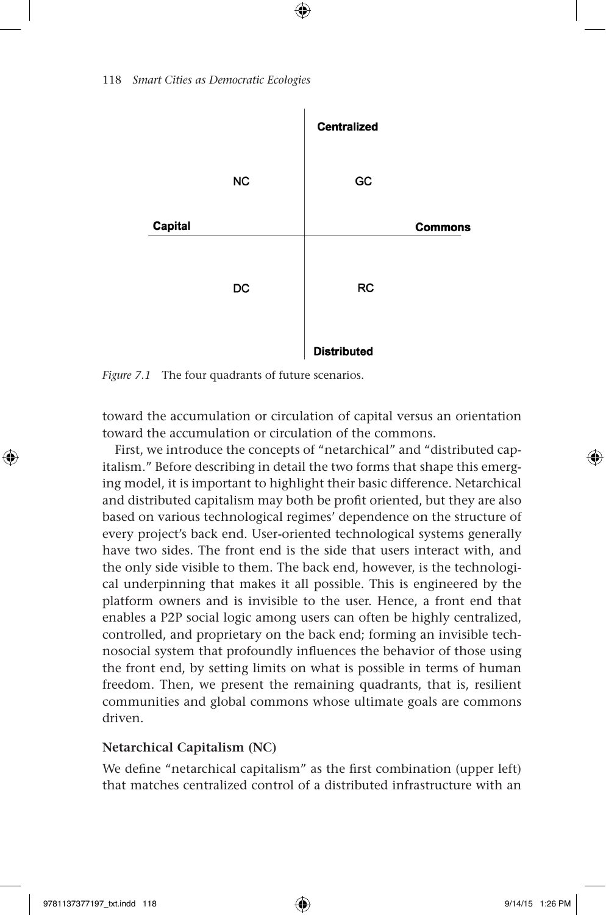

⊕

*Figure 7.1* The four quadrants of future scenarios.

toward the accumulation or circulation of capital versus an orientation toward the accumulation or circulation of the commons.

First, we introduce the concepts of "netarchical" and "distributed capitalism." Before describing in detail the two forms that shape this emerging model, it is important to highlight their basic difference. Netarchical and distributed capitalism may both be proft oriented, but they are also based on various technological regimes' dependence on the structure of every project's back end. User-oriented technological systems generally have two sides. The front end is the side that users interact with, and the only side visible to them. The back end, however, is the technological underpinning that makes it all possible. This is engineered by the platform owners and is invisible to the user. Hence, a front end that enables a P2P social logic among users can often be highly centralized, controlled, and proprietary on the back end; forming an invisible technosocial system that profoundly infuences the behavior of those using the front end, by setting limits on what is possible in terms of human freedom. Then, we present the remaining quadrants, that is, resilient communities and global commons whose ultimate goals are commons driven.

## **Netarchical Capitalism (NC)**

We defne "netarchical capitalism" as the frst combination (upper left) that matches centralized control of a distributed infrastructure with an

◈

⊕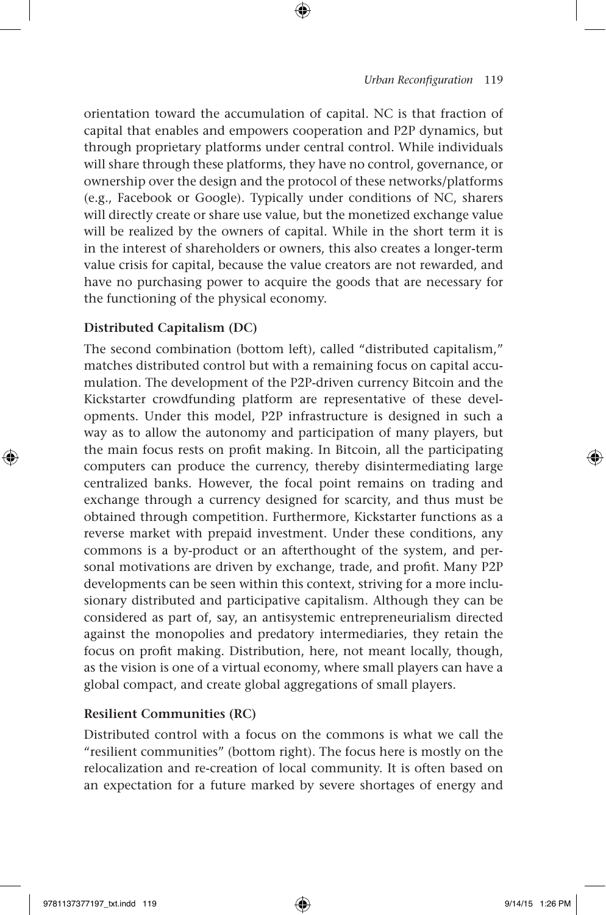orientation toward the accumulation of capital. NC is that fraction of capital that enables and empowers cooperation and P2P dynamics, but through proprietary platforms under central control. While individuals will share through these platforms, they have no control, governance, or ownership over the design and the protocol of these networks/platforms (e.g., Facebook or Google). Typically under conditions of NC, sharers will directly create or share use value, but the monetized exchange value will be realized by the owners of capital. While in the short term it is in the interest of shareholders or owners, this also creates a longer-term value crisis for capital, because the value creators are not rewarded, and have no purchasing power to acquire the goods that are necessary for the functioning of the physical economy.

# **Distributed Capitalism (DC)**

The second combination (bottom left), called "distributed capitalism," matches distributed control but with a remaining focus on capital accumulation. The development of the P2P-driven currency Bitcoin and the Kickstarter crowdfunding platform are representative of these developments. Under this model, P2P infrastructure is designed in such a way as to allow the autonomy and participation of many players, but the main focus rests on proft making. In Bitcoin, all the participating computers can produce the currency, thereby disintermediating large centralized banks. However, the focal point remains on trading and exchange through a currency designed for scarcity, and thus must be obtained through competition. Furthermore, Kickstarter functions as a reverse market with prepaid investment. Under these conditions, any commons is a by-product or an afterthought of the system, and personal motivations are driven by exchange, trade, and proft. Many P2P developments can be seen within this context, striving for a more inclusionary distributed and participative capitalism. Although they can be considered as part of, say, an antisystemic entrepreneurialism directed against the monopolies and predatory intermediaries, they retain the focus on proft making. Distribution, here, not meant locally, though, as the vision is one of a virtual economy, where small players can have a global compact, and create global aggregations of small players.

#### **Resilient Communities (RC)**

Distributed control with a focus on the commons is what we call the "resilient communities" (bottom right). The focus here is mostly on the relocalization and re-creation of local community. It is often based on an expectation for a future marked by severe shortages of energy and

◈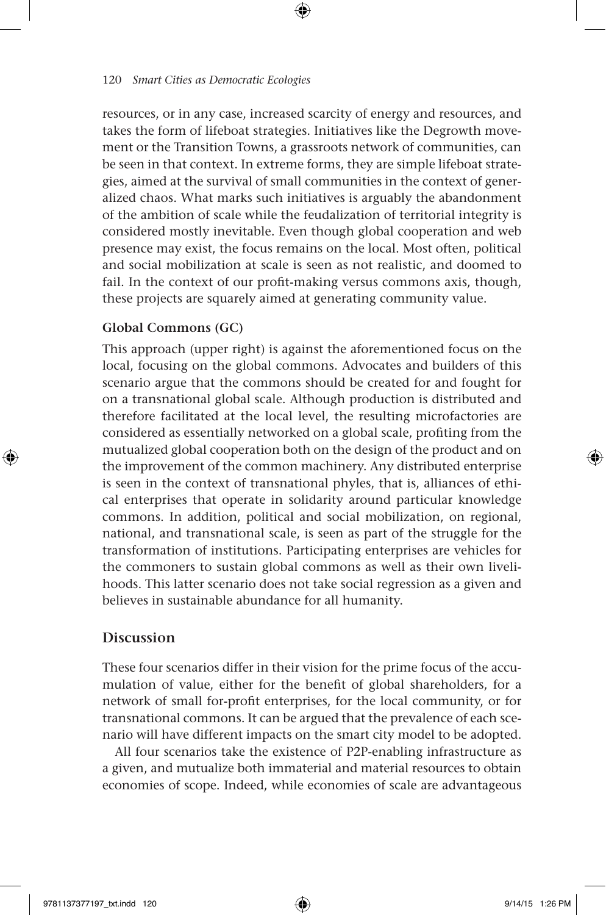#### 120 *Smart Cities as Democratic Ecologies*

resources, or in any case, increased scarcity of energy and resources, and takes the form of lifeboat strategies. Initiatives like the Degrowth movement or the Transition Towns, a grassroots network of communities, can be seen in that context. In extreme forms, they are simple lifeboat strategies, aimed at the survival of small communities in the context of generalized chaos. What marks such initiatives is arguably the abandonment of the ambition of scale while the feudalization of territorial integrity is considered mostly inevitable. Even though global cooperation and web presence may exist, the focus remains on the local. Most often, political and social mobilization at scale is seen as not realistic, and doomed to fail. In the context of our proft-making versus commons axis, though, these projects are squarely aimed at generating community value.

# **Global Commons (GC)**

This approach (upper right) is against the aforementioned focus on the local, focusing on the global commons. Advocates and builders of this scenario argue that the commons should be created for and fought for on a transnational global scale. Although production is distributed and therefore facilitated at the local level, the resulting microfactories are considered as essentially networked on a global scale, profting from the mutualized global cooperation both on the design of the product and on the improvement of the common machinery. Any distributed enterprise is seen in the context of transnational phyles, that is, alliances of ethical enterprises that operate in solidarity around particular knowledge commons. In addition, political and social mobilization, on regional, national, and transnational scale, is seen as part of the struggle for the transformation of institutions. Participating enterprises are vehicles for the commoners to sustain global commons as well as their own livelihoods. This latter scenario does not take social regression as a given and believes in sustainable abundance for all humanity.

#### **Discussion**

◈

These four scenarios differ in their vision for the prime focus of the accumulation of value, either for the beneft of global shareholders, for a network of small for-proft enterprises, for the local community, or for transnational commons. It can be argued that the prevalence of each scenario will have different impacts on the smart city model to be adopted.

All four scenarios take the existence of P2P-enabling infrastructure as a given, and mutualize both immaterial and material resources to obtain economies of scope. Indeed, while economies of scale are advantageous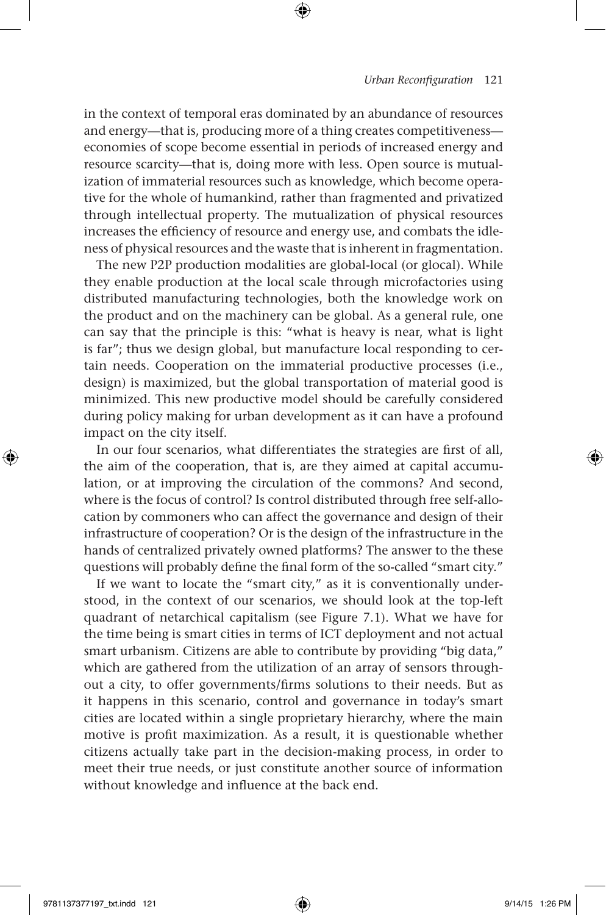in the context of temporal eras dominated by an abundance of resources and energy—that is, producing more of a thing creates competitiveness economies of scope become essential in periods of increased energy and resource scarcity—that is, doing more with less. Open source is mutualization of immaterial resources such as knowledge, which become operative for the whole of humankind, rather than fragmented and privatized through intellectual property. The mutualization of physical resources increases the efficiency of resource and energy use, and combats the idleness of physical resources and the waste that is inherent in fragmentation.

The new P2P production modalities are global-local (or glocal). While they enable production at the local scale through microfactories using distributed manufacturing technologies, both the knowledge work on the product and on the machinery can be global. As a general rule, one can say that the principle is this: "what is heavy is near, what is light is far"; thus we design global, but manufacture local responding to certain needs. Cooperation on the immaterial productive processes (i.e., design) is maximized, but the global transportation of material good is minimized. This new productive model should be carefully considered during policy making for urban development as it can have a profound impact on the city itself.

In our four scenarios, what differentiates the strategies are frst of all, the aim of the cooperation, that is, are they aimed at capital accumulation, or at improving the circulation of the commons? And second, where is the focus of control? Is control distributed through free self-allocation by commoners who can affect the governance and design of their infrastructure of cooperation? Or is the design of the infrastructure in the hands of centralized privately owned platforms? The answer to the these questions will probably defne the fnal form of the so-called "smart city."

If we want to locate the "smart city," as it is conventionally understood, in the context of our scenarios, we should look at the top-left quadrant of netarchical capitalism (see Figure 7.1). What we have for the time being is smart cities in terms of ICT deployment and not actual smart urbanism. Citizens are able to contribute by providing "big data," which are gathered from the utilization of an array of sensors throughout a city, to offer governments/frms solutions to their needs. But as it happens in this scenario, control and governance in today's smart cities are located within a single proprietary hierarchy, where the main motive is proft maximization. As a result, it is questionable whether citizens actually take part in the decision-making process, in order to meet their true needs, or just constitute another source of information without knowledge and infuence at the back end.

◈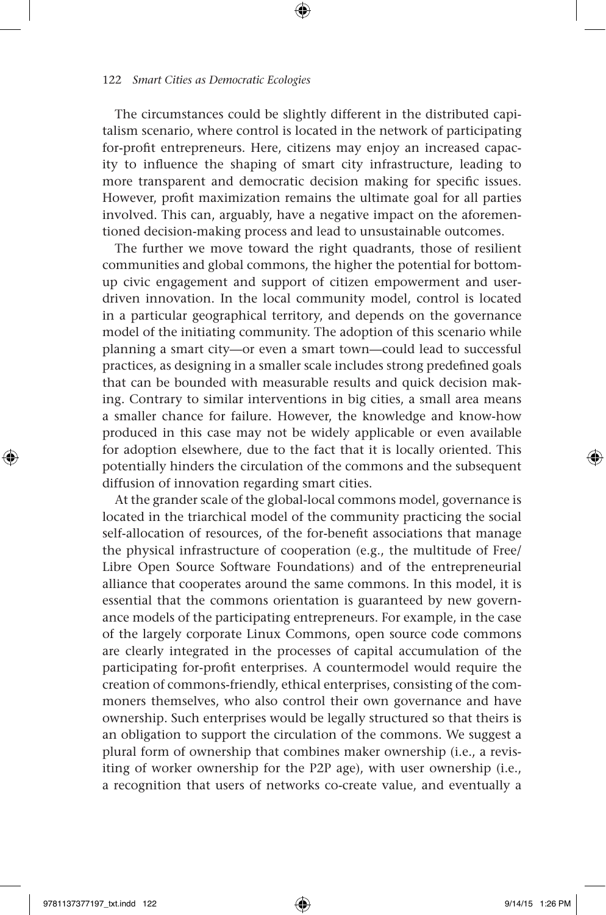#### 122 *Smart Cities as Democratic Ecologies*

The circumstances could be slightly different in the distributed capitalism scenario, where control is located in the network of participating for-proft entrepreneurs. Here, citizens may enjoy an increased capacity to infuence the shaping of smart city infrastructure, leading to more transparent and democratic decision making for specifc issues. However, proft maximization remains the ultimate goal for all parties involved. This can, arguably, have a negative impact on the aforementioned decision-making process and lead to unsustainable outcomes.

The further we move toward the right quadrants, those of resilient communities and global commons, the higher the potential for bottomup civic engagement and support of citizen empowerment and userdriven innovation. In the local community model, control is located in a particular geographical territory, and depends on the governance model of the initiating community. The adoption of this scenario while planning a smart city—or even a smart town—could lead to successful practices, as designing in a smaller scale includes strong predefned goals that can be bounded with measurable results and quick decision making. Contrary to similar interventions in big cities, a small area means a smaller chance for failure. However, the knowledge and know-how produced in this case may not be widely applicable or even available for adoption elsewhere, due to the fact that it is locally oriented. This potentially hinders the circulation of the commons and the subsequent diffusion of innovation regarding smart cities.

At the grander scale of the global-local commons model, governance is located in the triarchical model of the community practicing the social self-allocation of resources, of the for-beneft associations that manage the physical infrastructure of cooperation (e.g., the multitude of Free/ Libre Open Source Software Foundations) and of the entrepreneurial alliance that cooperates around the same commons. In this model, it is essential that the commons orientation is guaranteed by new governance models of the participating entrepreneurs. For example, in the case of the largely corporate Linux Commons, open source code commons are clearly integrated in the processes of capital accumulation of the participating for-proft enterprises. A countermodel would require the creation of commons-friendly, ethical enterprises, consisting of the commoners themselves, who also control their own governance and have ownership. Such enterprises would be legally structured so that theirs is an obligation to support the circulation of the commons. We suggest a plural form of ownership that combines maker ownership (i.e., a revisiting of worker ownership for the P2P age), with user ownership (i.e., a recognition that users of networks co-create value, and eventually a

◈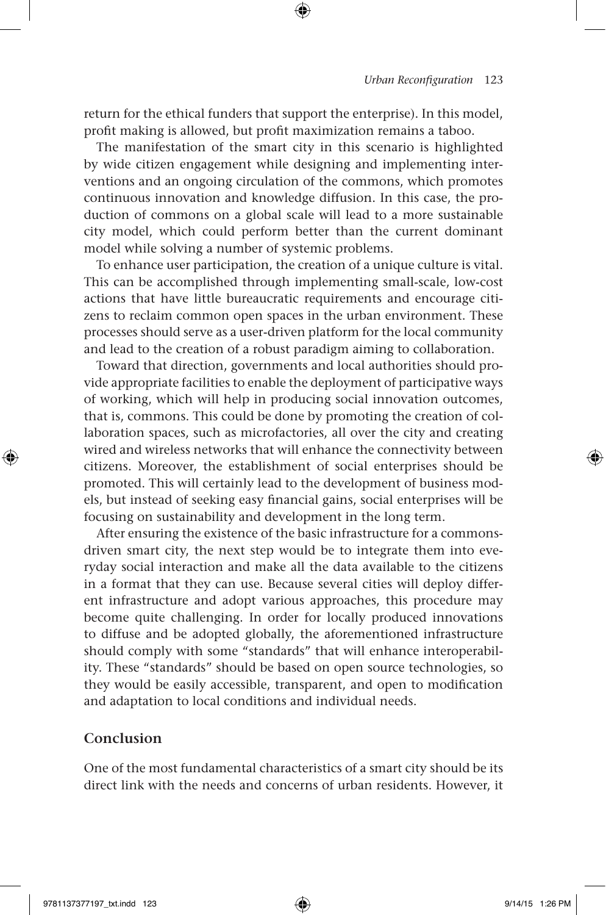return for the ethical funders that support the enterprise). In this model, proft making is allowed, but proft maximization remains a taboo.

The manifestation of the smart city in this scenario is highlighted by wide citizen engagement while designing and implementing interventions and an ongoing circulation of the commons, which promotes continuous innovation and knowledge diffusion. In this case, the production of commons on a global scale will lead to a more sustainable city model, which could perform better than the current dominant model while solving a number of systemic problems.

To enhance user participation, the creation of a unique culture is vital. This can be accomplished through implementing small-scale, low-cost actions that have little bureaucratic requirements and encourage citizens to reclaim common open spaces in the urban environment. These processes should serve as a user-driven platform for the local community and lead to the creation of a robust paradigm aiming to collaboration.

Toward that direction, governments and local authorities should provide appropriate facilities to enable the deployment of participative ways of working, which will help in producing social innovation outcomes, that is, commons. This could be done by promoting the creation of collaboration spaces, such as microfactories, all over the city and creating wired and wireless networks that will enhance the connectivity between citizens. Moreover, the establishment of social enterprises should be promoted. This will certainly lead to the development of business models, but instead of seeking easy fnancial gains, social enterprises will be focusing on sustainability and development in the long term.

After ensuring the existence of the basic infrastructure for a commonsdriven smart city, the next step would be to integrate them into everyday social interaction and make all the data available to the citizens in a format that they can use. Because several cities will deploy different infrastructure and adopt various approaches, this procedure may become quite challenging. In order for locally produced innovations to diffuse and be adopted globally, the aforementioned infrastructure should comply with some "standards" that will enhance interoperability. These "standards" should be based on open source technologies, so they would be easily accessible, transparent, and open to modifcation and adaptation to local conditions and individual needs.

## **Conclusion**

◈

One of the most fundamental characteristics of a smart city should be its direct link with the needs and concerns of urban residents. However, it